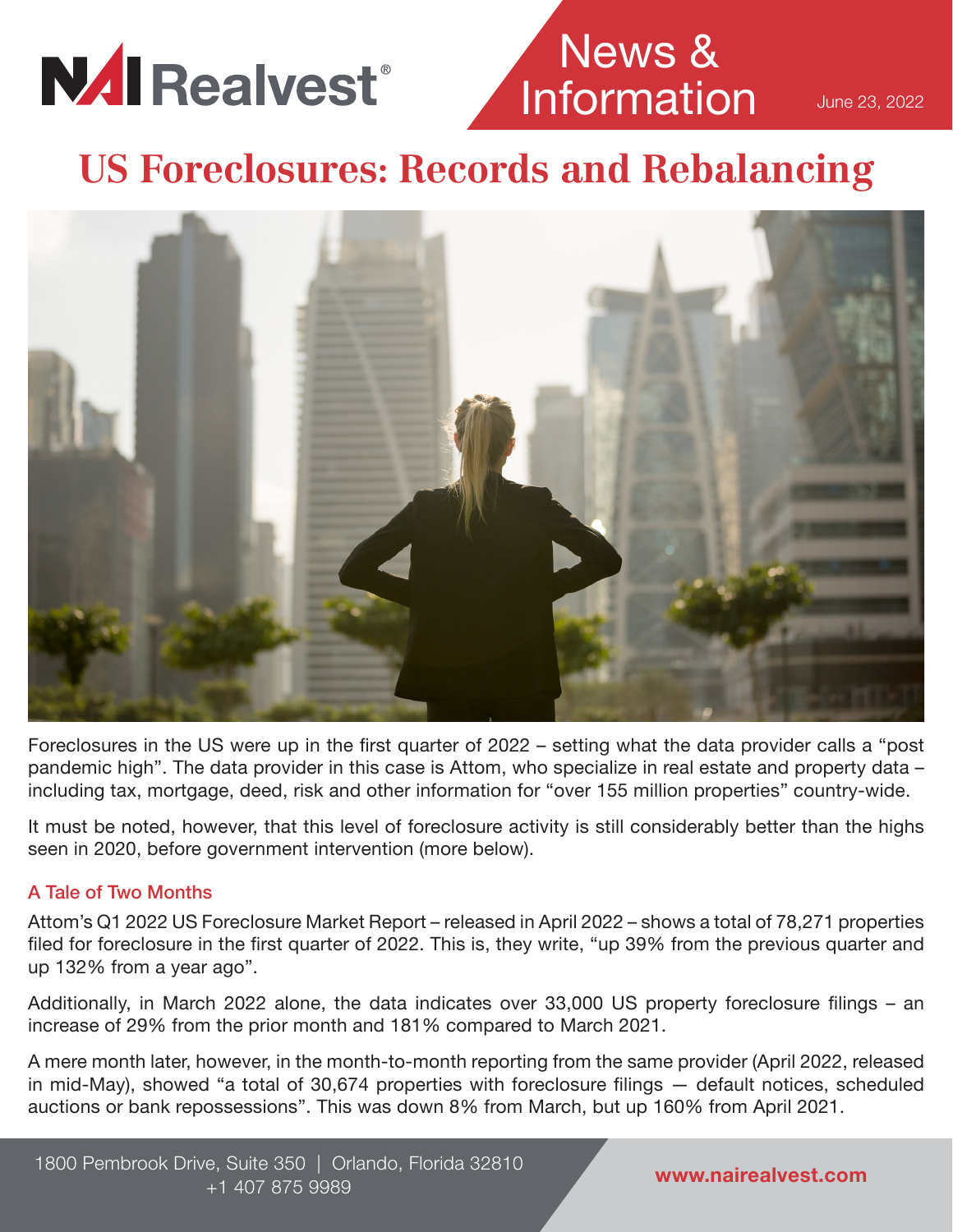

# News & **Information**

June 23, 2022

**US Foreclosures: Records and Rebalancing**



Foreclosures in the US were up in the first quarter of 2022 – setting what the data provider calls a "post pandemic high". The data provider in this case is Attom, who specialize in real estate and property data – including tax, mortgage, deed, risk and other information for "over 155 million properties" country-wide.

It must be noted, however, that this level of foreclosure activity is still considerably better than the highs seen in 2020, before government intervention (more below).

### A Tale of Two Months

Attom's Q1 2022 US Foreclosure Market Report – released in April 2022 – shows a total of 78,271 properties filed for foreclosure in the first quarter of 2022. This is, they write, "up 39% from the previous quarter and up 132% from a year ago".

Additionally, in March 2022 alone, the data indicates over 33,000 US property foreclosure filings – an increase of 29% from the prior month and 181% compared to March 2021.

A mere month later, however, in the month-to-month reporting from the same provider (April 2022, released in mid-May), showed "a total of 30,674 properties with foreclosure filings — default notices, scheduled auctions or bank repossessions". This was down 8% from March, but up 160% from April 2021.